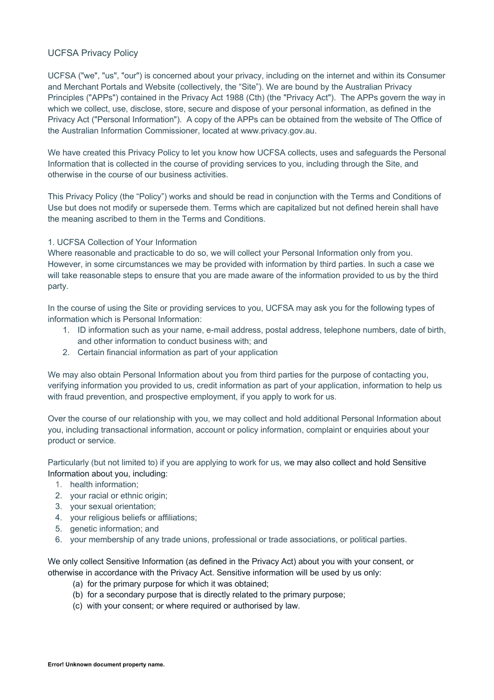## UCFSA Privacy Policy

UCFSA ("we", "us", "our") is concerned about your privacy, including on the internet and within its Consumer and Merchant Portals and Website (collectively, the "Site"). We are bound by the Australian Privacy Principles ("APPs") contained in the Privacy Act 1988 (Cth) (the "Privacy Act"). The APPs govern the way in which we collect, use, disclose, store, secure and dispose of your personal information, as defined in the Privacy Act ("Personal Information"). A copy of the APPs can be obtained from the website of The Office of the Australian Information Commissioner, located at www.privacy.gov.au.

We have created this Privacy Policy to let you know how UCFSA collects, uses and safeguards the Personal Information that is collected in the course of providing services to you, including through the Site, and otherwise in the course of our business activities.

This Privacy Policy (the "Policy") works and should be read in conjunction with the Terms and Conditions of Use but does not modify or supersede them. Terms which are capitalized but not defined herein shall have the meaning ascribed to them in the Terms and Conditions.

## 1. UCFSA Collection of Your Information

Where reasonable and practicable to do so, we will collect your Personal Information only from you. However, in some circumstances we may be provided with information by third parties. In such a case we will take reasonable steps to ensure that you are made aware of the information provided to us by the third party.

In the course of using the Site or providing services to you, UCFSA may ask you for the following types of information which is Personal Information:

- 1. ID information such as your name, e-mail address, postal address, telephone numbers, date of birth, and other information to conduct business with; and
- 2. Certain financial information as part of your application

We may also obtain Personal Information about you from third parties for the purpose of contacting you, verifying information you provided to us, credit information as part of your application, information to help us with fraud prevention, and prospective employment, if you apply to work for us.

Over the course of our relationship with you, we may collect and hold additional Personal Information about you, including transactional information, account or policy information, complaint or enquiries about your product or service.

Particularly (but not limited to) if you are applying to work for us, we may also collect and hold Sensitive Information about you, including:

- 1. health information;
- 2. your racial or ethnic origin;
- 3. your sexual orientation;
- 4. your religious beliefs or affiliations;
- 5. genetic information; and
- 6. your membership of any trade unions, professional or trade associations, or political parties.

We only collect Sensitive Information (as defined in the Privacy Act) about you with your consent, or otherwise in accordance with the Privacy Act. Sensitive information will be used by us only:

- (a) for the primary purpose for which it was obtained;
- (b) for a secondary purpose that is directly related to the primary purpose;
- (c) with your consent; or where required or authorised by law.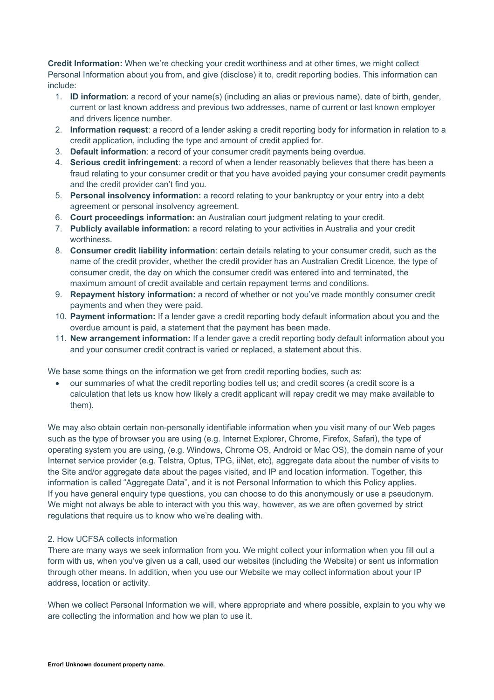**Credit Information:** When we're checking your credit worthiness and at other times, we might collect Personal Information about you from, and give (disclose) it to, credit reporting bodies. This information can include:

- 1. **ID information**: a record of your name(s) (including an alias or previous name), date of birth, gender, current or last known address and previous two addresses, name of current or last known employer and drivers licence number.
- 2. **Information request**: a record of a lender asking a credit reporting body for information in relation to a credit application, including the type and amount of credit applied for.
- 3. **Default information**: a record of your consumer credit payments being overdue.
- 4. **Serious credit infringement**: a record of when a lender reasonably believes that there has been a fraud relating to your consumer credit or that you have avoided paying your consumer credit payments and the credit provider can't find you.
- 5. **Personal insolvency information:** a record relating to your bankruptcy or your entry into a debt agreement or personal insolvency agreement.
- 6. **Court proceedings information:** an Australian court judgment relating to your credit.
- 7. **Publicly available information:** a record relating to your activities in Australia and your credit worthiness.
- 8. **Consumer credit liability information**: certain details relating to your consumer credit, such as the name of the credit provider, whether the credit provider has an Australian Credit Licence, the type of consumer credit, the day on which the consumer credit was entered into and terminated, the maximum amount of credit available and certain repayment terms and conditions.
- 9. **Repayment history information:** a record of whether or not you've made monthly consumer credit payments and when they were paid.
- 10. **Payment information:** If a lender gave a credit reporting body default information about you and the overdue amount is paid, a statement that the payment has been made.
- 11. **New arrangement information:** If a lender gave a credit reporting body default information about you and your consumer credit contract is varied or replaced, a statement about this.

We base some things on the information we get from credit reporting bodies, such as:

• our summaries of what the credit reporting bodies tell us; and credit scores (a credit score is a calculation that lets us know how likely a credit applicant will repay credit we may make available to them).

We may also obtain certain non-personally identifiable information when you visit many of our Web pages such as the type of browser you are using (e.g. Internet Explorer, Chrome, Firefox, Safari), the type of operating system you are using, (e.g. Windows, Chrome OS, Android or Mac OS), the domain name of your Internet service provider (e.g. Telstra, Optus, TPG, iiNet, etc), aggregate data about the number of visits to the Site and/or aggregate data about the pages visited, and IP and location information. Together, this information is called "Aggregate Data", and it is not Personal Information to which this Policy applies. If you have general enquiry type questions, you can choose to do this anonymously or use a pseudonym. We might not always be able to interact with you this way, however, as we are often governed by strict regulations that require us to know who we're dealing with.

## 2. How UCFSA collects information

There are many ways we seek information from you. We might collect your information when you fill out a form with us, when you've given us a call, used our websites (including the Website) or sent us information through other means. In addition, when you use our Website we may collect information about your IP address, location or activity.

When we collect Personal Information we will, where appropriate and where possible, explain to you why we are collecting the information and how we plan to use it.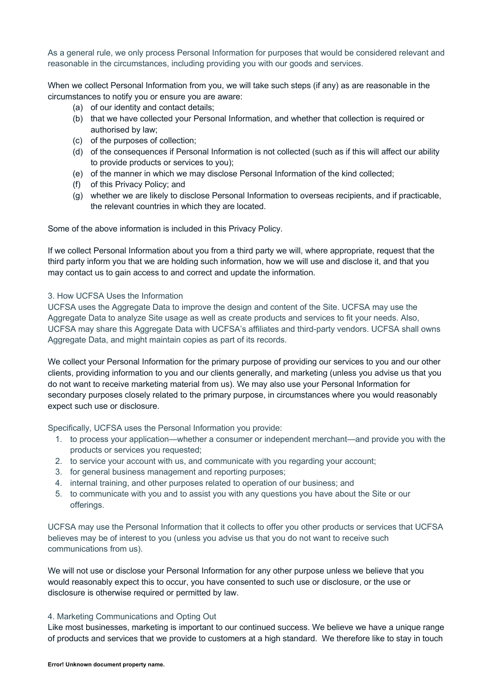As a general rule, we only process Personal Information for purposes that would be considered relevant and reasonable in the circumstances, including providing you with our goods and services.

When we collect Personal Information from you, we will take such steps (if any) as are reasonable in the circumstances to notify you or ensure you are aware:

- (a) of our identity and contact details;
- (b) that we have collected your Personal Information, and whether that collection is required or authorised by law;
- (c) of the purposes of collection;
- (d) of the consequences if Personal Information is not collected (such as if this will affect our ability to provide products or services to you);
- (e) of the manner in which we may disclose Personal Information of the kind collected;
- (f) of this Privacy Policy; and
- (g) whether we are likely to disclose Personal Information to overseas recipients, and if practicable, the relevant countries in which they are located.

Some of the above information is included in this Privacy Policy.

If we collect Personal Information about you from a third party we will, where appropriate, request that the third party inform you that we are holding such information, how we will use and disclose it, and that you may contact us to gain access to and correct and update the information.

### 3. How UCFSA Uses the Information

UCFSA uses the Aggregate Data to improve the design and content of the Site. UCFSA may use the Aggregate Data to analyze Site usage as well as create products and services to fit your needs. Also, UCFSA may share this Aggregate Data with UCFSA's affiliates and third-party vendors. UCFSA shall owns Aggregate Data, and might maintain copies as part of its records.

We collect your Personal Information for the primary purpose of providing our services to you and our other clients, providing information to you and our clients generally, and marketing (unless you advise us that you do not want to receive marketing material from us). We may also use your Personal Information for secondary purposes closely related to the primary purpose, in circumstances where you would reasonably expect such use or disclosure.

Specifically, UCFSA uses the Personal Information you provide:

- 1. to process your application—whether a consumer or independent merchant—and provide you with the products or services you requested;
- 2. to service your account with us, and communicate with you regarding your account;
- 3. for general business management and reporting purposes;
- 4. internal training, and other purposes related to operation of our business; and
- 5. to communicate with you and to assist you with any questions you have about the Site or our offerings.

UCFSA may use the Personal Information that it collects to offer you other products or services that UCFSA believes may be of interest to you (unless you advise us that you do not want to receive such communications from us).

We will not use or disclose your Personal Information for any other purpose unless we believe that you would reasonably expect this to occur, you have consented to such use or disclosure, or the use or disclosure is otherwise required or permitted by law.

#### 4. Marketing Communications and Opting Out

Like most businesses, marketing is important to our continued success. We believe we have a unique range of products and services that we provide to customers at a high standard. We therefore like to stay in touch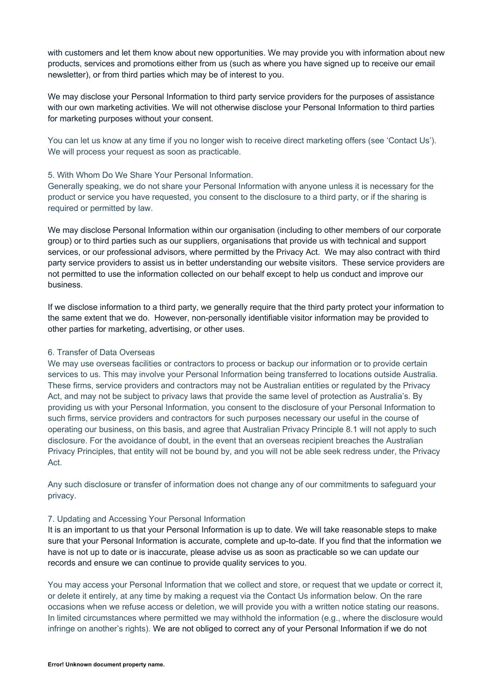with customers and let them know about new opportunities. We may provide you with information about new products, services and promotions either from us (such as where you have signed up to receive our email newsletter), or from third parties which may be of interest to you.

We may disclose your Personal Information to third party service providers for the purposes of assistance with our own marketing activities. We will not otherwise disclose your Personal Information to third parties for marketing purposes without your consent.

You can let us know at any time if you no longer wish to receive direct marketing offers (see 'Contact Us'). We will process your request as soon as practicable.

## 5. With Whom Do We Share Your Personal Information.

Generally speaking, we do not share your Personal Information with anyone unless it is necessary for the product or service you have requested, you consent to the disclosure to a third party, or if the sharing is required or permitted by law.

We may disclose Personal Information within our organisation (including to other members of our corporate group) or to third parties such as our suppliers, organisations that provide us with technical and support services, or our professional advisors, where permitted by the Privacy Act. We may also contract with third party service providers to assist us in better understanding our website visitors. These service providers are not permitted to use the information collected on our behalf except to help us conduct and improve our business.

If we disclose information to a third party, we generally require that the third party protect your information to the same extent that we do. However, non-personally identifiable visitor information may be provided to other parties for marketing, advertising, or other uses.

## 6. Transfer of Data Overseas

We may use overseas facilities or contractors to process or backup our information or to provide certain services to us. This may involve your Personal Information being transferred to locations outside Australia. These firms, service providers and contractors may not be Australian entities or regulated by the Privacy Act, and may not be subject to privacy laws that provide the same level of protection as Australia's. By providing us with your Personal Information, you consent to the disclosure of your Personal Information to such firms, service providers and contractors for such purposes necessary our useful in the course of operating our business, on this basis, and agree that Australian Privacy Principle 8.1 will not apply to such disclosure. For the avoidance of doubt, in the event that an overseas recipient breaches the Australian Privacy Principles, that entity will not be bound by, and you will not be able seek redress under, the Privacy Act.

Any such disclosure or transfer of information does not change any of our commitments to safeguard your privacy.

#### 7. Updating and Accessing Your Personal Information

It is an important to us that your Personal Information is up to date. We will take reasonable steps to make sure that your Personal Information is accurate, complete and up-to-date. If you find that the information we have is not up to date or is inaccurate, please advise us as soon as practicable so we can update our records and ensure we can continue to provide quality services to you.

You may access your Personal Information that we collect and store, or request that we update or correct it, or delete it entirely, at any time by making a request via the Contact Us information below. On the rare occasions when we refuse access or deletion, we will provide you with a written notice stating our reasons. In limited circumstances where permitted we may withhold the information (e.g., where the disclosure would infringe on another's rights). We are not obliged to correct any of your Personal Information if we do not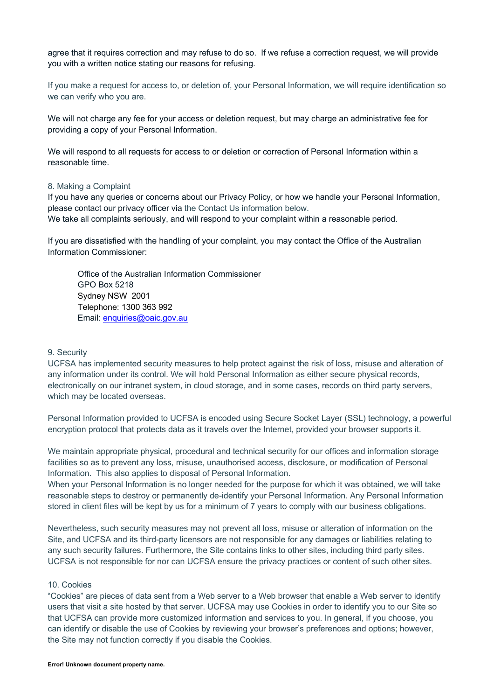agree that it requires correction and may refuse to do so. If we refuse a correction request, we will provide you with a written notice stating our reasons for refusing.

If you make a request for access to, or deletion of, your Personal Information, we will require identification so we can verify who you are.

We will not charge any fee for your access or deletion request, but may charge an administrative fee for providing a copy of your Personal Information.

We will respond to all requests for access to or deletion or correction of Personal Information within a reasonable time.

### 8. Making a Complaint

If you have any queries or concerns about our Privacy Policy, or how we handle your Personal Information, please contact our privacy officer via the Contact Us information below. We take all complaints seriously, and will respond to your complaint within a reasonable period.

If you are dissatisfied with the handling of your complaint, you may contact the Office of the Australian Information Commissioner:

Office of the Australian Information Commissioner GPO Box 5218 Sydney NSW 2001 Telephone: 1300 363 992 Email: enquiries@oaic.gov.au

#### 9. Security

UCFSA has implemented security measures to help protect against the risk of loss, misuse and alteration of any information under its control. We will hold Personal Information as either secure physical records, electronically on our intranet system, in cloud storage, and in some cases, records on third party servers, which may be located overseas.

Personal Information provided to UCFSA is encoded using Secure Socket Layer (SSL) technology, a powerful encryption protocol that protects data as it travels over the Internet, provided your browser supports it.

We maintain appropriate physical, procedural and technical security for our offices and information storage facilities so as to prevent any loss, misuse, unauthorised access, disclosure, or modification of Personal Information. This also applies to disposal of Personal Information.

When your Personal Information is no longer needed for the purpose for which it was obtained, we will take reasonable steps to destroy or permanently de-identify your Personal Information. Any Personal Information stored in client files will be kept by us for a minimum of 7 years to comply with our business obligations.

Nevertheless, such security measures may not prevent all loss, misuse or alteration of information on the Site, and UCFSA and its third-party licensors are not responsible for any damages or liabilities relating to any such security failures. Furthermore, the Site contains links to other sites, including third party sites. UCFSA is not responsible for nor can UCFSA ensure the privacy practices or content of such other sites.

#### 10. Cookies

"Cookies" are pieces of data sent from a Web server to a Web browser that enable a Web server to identify users that visit a site hosted by that server. UCFSA may use Cookies in order to identify you to our Site so that UCFSA can provide more customized information and services to you. In general, if you choose, you can identify or disable the use of Cookies by reviewing your browser's preferences and options; however, the Site may not function correctly if you disable the Cookies.